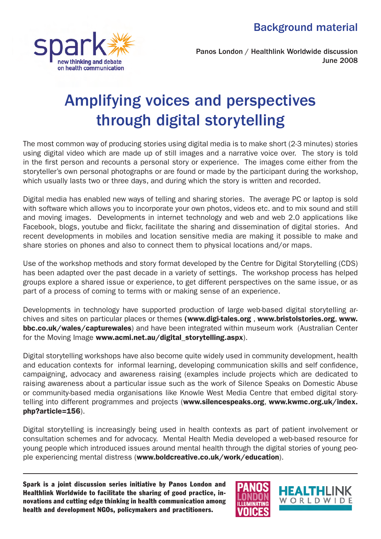

Panos London / Healthlink Worldwide discussion June 2008

# Amplifying voices and perspectives through digital storytelling

The most common way of producing stories using digital media is to make short (2-3 minutes) stories using digital video which are made up of still images and a narrative voice over. The story is told in the first person and recounts a personal story or experience. The images come either from the storyteller's own personal photographs or are found or made by the participant during the workshop, which usually lasts two or three days, and during which the story is written and recorded.

Digital media has enabled new ways of telling and sharing stories. The average PC or laptop is sold with software which allows you to incorporate your own photos, videos etc. and to mix sound and still and moving images. Developments in internet technology and web and web 2.0 applications like Facebook, blogs, youtube and flickr, facilitate the sharing and dissemination of digital stories. And recent developments in mobiles and location sensitive media are making it possible to make and share stories on phones and also to connect them to physical locations and/or maps.

Use of the workshop methods and story format developed by the Centre for Digital Storytelling (CDS) has been adapted over the past decade in a variety of settings. The workshop process has helped groups explore a shared issue or experience, to get different perspectives on the same issue, or as part of a process of coming to terms with or making sense of an experience.

Developments in technology have supported production of large web-based digital storytelling archives and sites on particular places or themes (www.digi-tales.org , www.bristolstories.org, www. **bbc.co.uk/wales/capturewales**) and have been integrated within museum work (Australian Center for the Moving Image www.acmi.net.au/digital storytelling.aspx).

Digital storytelling workshops have also become quite widely used in community development, health and education contexts for informal learning, developing communication skills and self confidence, campaigning, advocacy and awareness raising (examples include projects which are dedicated to raising awareness about a particular issue such as the work of Silence Speaks on Domestic Abuse or community-based media organisations like Knowle West Media Centre that embed digital storytelling into different programmes and projects (www.silencespeaks.org, www.kwmc.org.uk/index. php?article=156).

Digital storytelling is increasingly being used in health contexts as part of patient involvement or consultation schemes and for advocacy. Mental Health Media developed a web-based resource for young people which introduced issues around mental health through the digital stories of young people experiencing mental distress (www.boldcreative.co.uk/work/education).

Spark is a joint discussion series initiative by Panos London and Healthlink Worldwide to facilitate the sharing of good practice, innovations and cutting edge thinking in health communication among health and development NGOs, policymakers and practitioners.



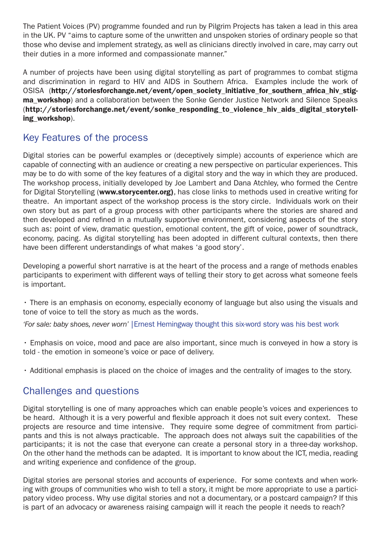The Patient Voices (PV) programme founded and run by Pilgrim Projects has taken a lead in this area in the UK. PV "aims to capture some of the unwritten and unspoken stories of ordinary people so that those who devise and implement strategy, as well as clinicians directly involved in care, may carry out their duties in a more informed and compassionate manner."

A number of projects have been using digital storytelling as part of programmes to combat stigma and discrimination in regard to HIV and AIDS in Southern Africa. Examples include the work of OSISA (http://storiesforchange.net/event/open\_society\_initiative\_for\_southern\_africa\_hiv\_stigma workshop) and a collaboration between the Sonke Gender Justice Network and Silence Speaks (http://storiesforchange.net/event/sonke\_responding\_to\_violence\_hiv\_aids\_digital\_storytelling\_workshop).

# Key Features of the process

Digital stories can be powerful examples or (deceptively simple) accounts of experience which are capable of connecting with an audience or creating a new perspective on particular experiences. This may be to do with some of the key features of a digital story and the way in which they are produced. The workshop process, initially developed by Joe Lambert and Dana Atchley, who formed the Centre for Digital Storytelling (www.storycenter.org), has close links to methods used in creative writing for theatre. An important aspect of the workshop process is the story circle. Individuals work on their own story but as part of a group process with other participants where the stories are shared and then developed and refined in a mutually supportive environment, considering aspects of the story such as: point of view, dramatic question, emotional content, the gift of voice, power of soundtrack, economy, pacing. As digital storytelling has been adopted in different cultural contexts, then there have been different understandings of what makes 'a good story'.

Developing a powerful short narrative is at the heart of the process and a range of methods enables participants to experiment with different ways of telling their story to get across what someone feels is important.

• There is an emphasis on economy, especially economy of language but also using the visuals and tone of voice to tell the story as much as the words.

*'For sale: baby shoes, never worn' |*Ernest Hemingway thought this six-word story was his best work

• Emphasis on voice, mood and pace are also important, since much is conveyed in how a story is told - the emotion in someone's voice or pace of delivery.

• Additional emphasis is placed on the choice of images and the centrality of images to the story.

## Challenges and questions

Digital storytelling is one of many approaches which can enable people's voices and experiences to be heard. Although it is a very powerful and flexible approach it does not suit every context. These projects are resource and time intensive. They require some degree of commitment from participants and this is not always practicable. The approach does not always suit the capabilities of the participants; it is not the case that everyone can create a personal story in a three-day workshop. On the other hand the methods can be adapted. It is important to know about the ICT, media, reading and writing experience and confidence of the group.

Digital stories are personal stories and accounts of experience. For some contexts and when working with groups of communities who wish to tell a story, it might be more appropriate to use a participatory video process. Why use digital stories and not a documentary, or a postcard campaign? If this is part of an advocacy or awareness raising campaign will it reach the people it needs to reach?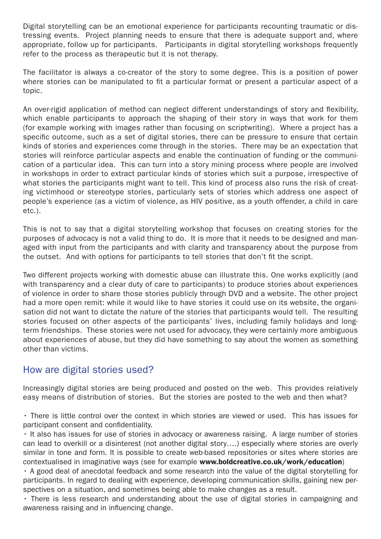Digital storytelling can be an emotional experience for participants recounting traumatic or distressing events. Project planning needs to ensure that there is adequate support and, where appropriate, follow up for participants. Participants in digital storytelling workshops frequently refer to the process as therapeutic but it is not therapy.

The facilitator is always a co-creator of the story to some degree. This is a position of power where stories can be manipulated to fit a particular format or present a particular aspect of a topic.

An over-rigid application of method can neglect different understandings of story and flexibility, which enable participants to approach the shaping of their story in ways that work for them (for example working with images rather than focusing on scriptwriting). Where a project has a specific outcome, such as a set of digital stories, there can be pressure to ensure that certain kinds of stories and experiences come through in the stories. There may be an expectation that stories will reinforce particular aspects and enable the continuation of funding or the communication of a particular idea. This can turn into a story mining process where people are involved in workshops in order to extract particular kinds of stories which suit a purpose, irrespective of what stories the participants might want to tell. This kind of process also runs the risk of creating victimhood or stereotype stories, particularly sets of stories which address one aspect of people's experience (as a victim of violence, as HIV positive, as a youth offender, a child in care etc.).

This is not to say that a digital storytelling workshop that focuses on creating stories for the purposes of advocacy is not a valid thing to do. It is more that it needs to be designed and managed with input from the participants and with clarity and transparency about the purpose from the outset. And with options for participants to tell stories that don't fit the script.

Two different projects working with domestic abuse can illustrate this. One works explicitly (and with transparency and a clear duty of care to participants) to produce stories about experiences of violence in order to share those stories publicly through DVD and a website. The other project had a more open remit: while it would like to have stories it could use on its website, the organisation did not want to dictate the nature of the stories that participants would tell. The resulting stories focused on other aspects of the participants' lives, including family holidays and longterm friendships. These stories were not used for advocacy, they were certainly more ambiguous about experiences of abuse, but they did have something to say about the women as something other than victims.

## How are digital stories used?

Increasingly digital stories are being produced and posted on the web. This provides relatively easy means of distribution of stories. But the stories are posted to the web and then what?

• There is little control over the context in which stories are viewed or used. This has issues for participant consent and confidentiality.

• It also has issues for use of stories in advocacy or awareness raising. A large number of stories can lead to overkill or a disinterest (not another digital story….) especially where stories are overly similar in tone and form. It is possible to create web-based repositories or sites where stories are contextualised in imaginative ways (see for example www.boldcreative.co.uk/work/education)

• A good deal of anecdotal feedback and some research into the value of the digital storytelling for participants. In regard to dealing with experience, developing communication skills, gaining new perspectives on a situation, and sometimes being able to make changes as a result.

• There is less research and understanding about the use of digital stories in campaigning and awareness raising and in influencing change.